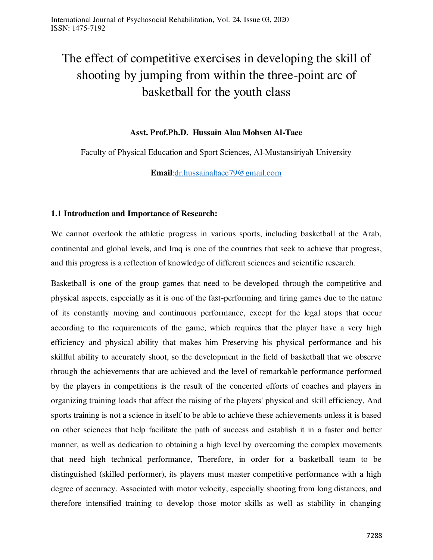# The effect of competitive exercises in developing the skill of shooting by jumping from within the three-point arc of basketball for the youth class

## **Asst. Prof.Ph.D. Hussain Alaa Mohsen Al-Taee**

Faculty of Physical Education and Sport Sciences, Al-Mustansiriyah University

**Email**[:dr.hussainaltaee79@gmail.com](mailto:dr.hussainaltaee79@gmail.com)

## **1.1 Introduction and Importance of Research:**

We cannot overlook the athletic progress in various sports, including basketball at the Arab, continental and global levels, and Iraq is one of the countries that seek to achieve that progress, and this progress is a reflection of knowledge of different sciences and scientific research.

Basketball is one of the group games that need to be developed through the competitive and physical aspects, especially as it is one of the fast-performing and tiring games due to the nature of its constantly moving and continuous performance, except for the legal stops that occur according to the requirements of the game, which requires that the player have a very high efficiency and physical ability that makes him Preserving his physical performance and his skillful ability to accurately shoot, so the development in the field of basketball that we observe through the achievements that are achieved and the level of remarkable performance performed by the players in competitions is the result of the concerted efforts of coaches and players in organizing training loads that affect the raising of the players' physical and skill efficiency, And sports training is not a science in itself to be able to achieve these achievements unless it is based on other sciences that help facilitate the path of success and establish it in a faster and better manner, as well as dedication to obtaining a high level by overcoming the complex movements that need high technical performance, Therefore, in order for a basketball team to be distinguished (skilled performer), its players must master competitive performance with a high degree of accuracy. Associated with motor velocity, especially shooting from long distances, and therefore intensified training to develop those motor skills as well as stability in changing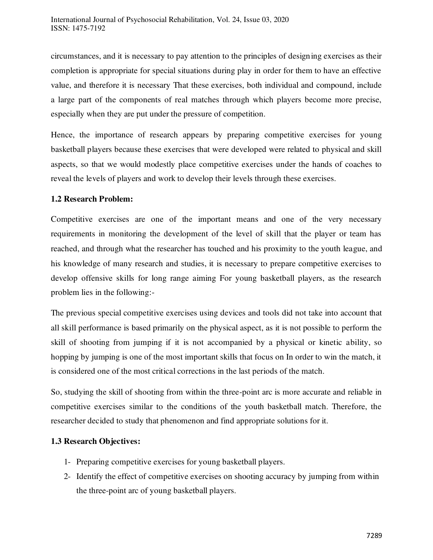circumstances, and it is necessary to pay attention to the principles of designing exercises as their completion is appropriate for special situations during play in order for them to have an effective value, and therefore it is necessary That these exercises, both individual and compound, include a large part of the components of real matches through which players become more precise, especially when they are put under the pressure of competition.

Hence, the importance of research appears by preparing competitive exercises for young basketball players because these exercises that were developed were related to physical and skill aspects, so that we would modestly place competitive exercises under the hands of coaches to reveal the levels of players and work to develop their levels through these exercises.

## **1.2 Research Problem:**

Competitive exercises are one of the important means and one of the very necessary requirements in monitoring the development of the level of skill that the player or team has reached, and through what the researcher has touched and his proximity to the youth league, and his knowledge of many research and studies, it is necessary to prepare competitive exercises to develop offensive skills for long range aiming For young basketball players, as the research problem lies in the following:-

The previous special competitive exercises using devices and tools did not take into account that all skill performance is based primarily on the physical aspect, as it is not possible to perform the skill of shooting from jumping if it is not accompanied by a physical or kinetic ability, so hopping by jumping is one of the most important skills that focus on In order to win the match, it is considered one of the most critical corrections in the last periods of the match.

So, studying the skill of shooting from within the three-point arc is more accurate and reliable in competitive exercises similar to the conditions of the youth basketball match. Therefore, the researcher decided to study that phenomenon and find appropriate solutions for it.

# **1.3 Research Objectives:**

- 1- Preparing competitive exercises for young basketball players.
- 2- Identify the effect of competitive exercises on shooting accuracy by jumping from within the three-point arc of young basketball players.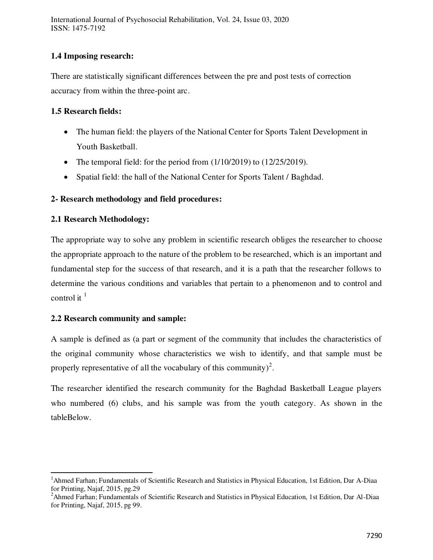International Journal of Psychosocial Rehabilitation, Vol. 24, Issue 03, 2020 ISSN: 1475-7192

## **1.4 Imposing research:**

There are statistically significant differences between the pre and post tests of correction accuracy from within the three-point arc.

## **1.5 Research fields:**

- The human field: the players of the National Center for Sports Talent Development in Youth Basketball.
- The temporal field: for the period from  $(1/10/2019)$  to  $(12/25/2019)$ .
- Spatial field: the hall of the National Center for Sports Talent / Baghdad.

## **2- Research methodology and field procedures:**

## **2.1 Research Methodology:**

The appropriate way to solve any problem in scientific research obliges the researcher to choose the appropriate approach to the nature of the problem to be researched, which is an important and fundamental step for the success of that research, and it is a path that the researcher follows to determine the various conditions and variables that pertain to a phenomenon and to control and control it  $<sup>1</sup>$ </sup>

#### **2.2 Research community and sample:**

 $\overline{a}$ 

A sample is defined as (a part or segment of the community that includes the characteristics of the original community whose characteristics we wish to identify, and that sample must be properly representative of all the vocabulary of this community)<sup>2</sup>.

The researcher identified the research community for the Baghdad Basketball League players who numbered (6) clubs, and his sample was from the youth category. As shown in the tableBelow.

<sup>&</sup>lt;sup>1</sup>Ahmed Farhan; Fundamentals of Scientific Research and Statistics in Physical Education, 1st Edition, Dar A-Diaa for Printing, Najaf, 2015, pg.29

<sup>&</sup>lt;sup>2</sup>Ahmed Farhan; Fundamentals of Scientific Research and Statistics in Physical Education, 1st Edition, Dar Al-Diaa for Printing, Najaf, 2015, pg 99.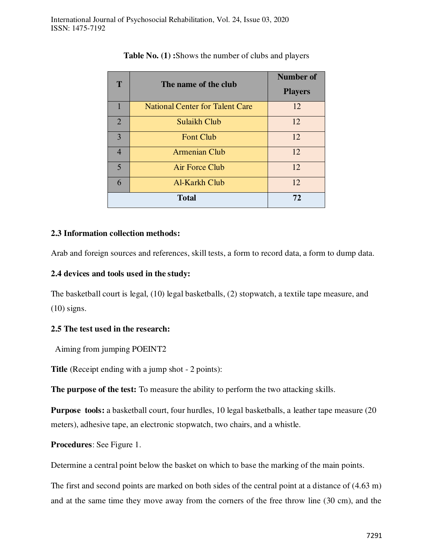| T                       | The name of the club                   | Number of      |  |  |
|-------------------------|----------------------------------------|----------------|--|--|
|                         |                                        | <b>Players</b> |  |  |
|                         | <b>National Center for Talent Care</b> | 12             |  |  |
| $\overline{2}$          | Sulaikh Club                           | 12             |  |  |
| 3                       | <b>Font Club</b>                       | 12             |  |  |
| $\overline{4}$          | <b>Armenian Club</b>                   | 12             |  |  |
| $\overline{\mathbf{5}}$ | Air Force Club                         | 12             |  |  |
| 6                       | Al-Karkh Club                          | 12             |  |  |
|                         | <b>Total</b>                           | 72             |  |  |

**Table No. (1) :**Shows the number of clubs and players

## **2.3 Information collection methods:**

Arab and foreign sources and references, skill tests, a form to record data, a form to dump data.

## **2.4 devices and tools used in the study:**

The basketball court is legal, (10) legal basketballs, (2) stopwatch, a textile tape measure, and (10) signs.

# **2.5 The test used in the research:**

Aiming from jumping POEINT2

**Title** (Receipt ending with a jump shot - 2 points):

**The purpose of the test:** To measure the ability to perform the two attacking skills.

**Purpose tools:** a basketball court, four hurdles, 10 legal basketballs, a leather tape measure (20 meters), adhesive tape, an electronic stopwatch, two chairs, and a whistle.

**Procedures**: See Figure 1.

Determine a central point below the basket on which to base the marking of the main points.

The first and second points are marked on both sides of the central point at a distance of (4.63 m) and at the same time they move away from the corners of the free throw line (30 cm), and the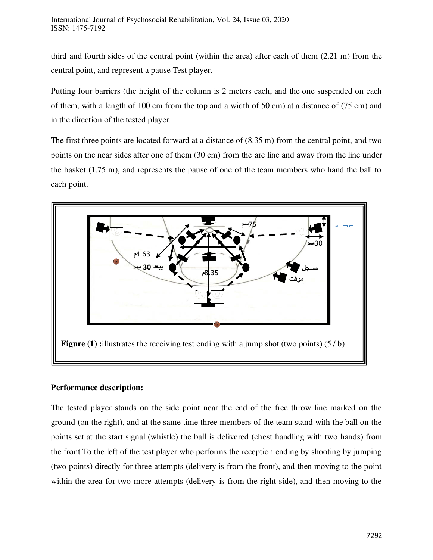third and fourth sides of the central point (within the area) after each of them (2.21 m) from the central point, and represent a pause Test player.

Putting four barriers (the height of the column is 2 meters each, and the one suspended on each of them, with a length of 100 cm from the top and a width of 50 cm) at a distance of (75 cm) and in the direction of the tested player.

The first three points are located forward at a distance of (8.35 m) from the central point, and two points on the near sides after one of them (30 cm) from the arc line and away from the line under the basket (1.75 m), and represents the pause of one of the team members who hand the ball to each point.



# **Performance description:**

The tested player stands on the side point near the end of the free throw line marked on the ground (on the right), and at the same time three members of the team stand with the ball on the points set at the start signal (whistle) the ball is delivered (chest handling with two hands) from the front To the left of the test player who performs the reception ending by shooting by jumping (two points) directly for three attempts (delivery is from the front), and then moving to the point within the area for two more attempts (delivery is from the right side), and then moving to the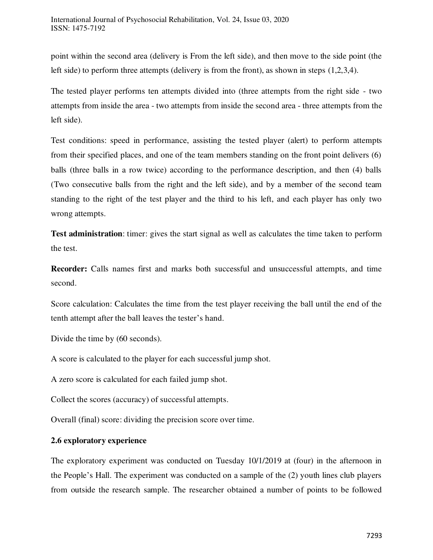point within the second area (delivery is From the left side), and then move to the side point (the left side) to perform three attempts (delivery is from the front), as shown in steps (1,2,3,4).

The tested player performs ten attempts divided into (three attempts from the right side - two attempts from inside the area - two attempts from inside the second area - three attempts from the left side).

Test conditions: speed in performance, assisting the tested player (alert) to perform attempts from their specified places, and one of the team members standing on the front point delivers (6) balls (three balls in a row twice) according to the performance description, and then (4) balls (Two consecutive balls from the right and the left side), and by a member of the second team standing to the right of the test player and the third to his left, and each player has only two wrong attempts.

**Test administration**: timer: gives the start signal as well as calculates the time taken to perform the test.

**Recorder:** Calls names first and marks both successful and unsuccessful attempts, and time second.

Score calculation: Calculates the time from the test player receiving the ball until the end of the tenth attempt after the ball leaves the tester's hand.

Divide the time by (60 seconds).

A score is calculated to the player for each successful jump shot.

A zero score is calculated for each failed jump shot.

Collect the scores (accuracy) of successful attempts.

Overall (final) score: dividing the precision score over time.

# **2.6 exploratory experience**

The exploratory experiment was conducted on Tuesday 10/1/2019 at (four) in the afternoon in the People's Hall. The experiment was conducted on a sample of the (2) youth lines club players from outside the research sample. The researcher obtained a number of points to be followed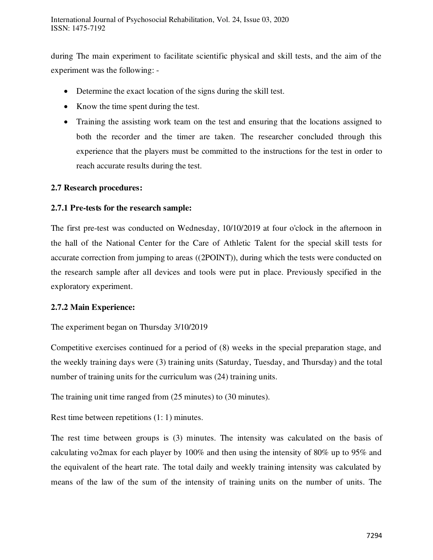during The main experiment to facilitate scientific physical and skill tests, and the aim of the experiment was the following: -

- Determine the exact location of the signs during the skill test.
- Know the time spent during the test.
- Training the assisting work team on the test and ensuring that the locations assigned to both the recorder and the timer are taken. The researcher concluded through this experience that the players must be committed to the instructions for the test in order to reach accurate results during the test.

# **2.7 Research procedures:**

## **2.7.1 Pre-tests for the research sample:**

The first pre-test was conducted on Wednesday, 10/10/2019 at four o'clock in the afternoon in the hall of the National Center for the Care of Athletic Talent for the special skill tests for accurate correction from jumping to areas ((2POINT)), during which the tests were conducted on the research sample after all devices and tools were put in place. Previously specified in the exploratory experiment.

#### **2.7.2 Main Experience:**

#### The experiment began on Thursday 3/10/2019

Competitive exercises continued for a period of (8) weeks in the special preparation stage, and the weekly training days were (3) training units (Saturday, Tuesday, and Thursday) and the total number of training units for the curriculum was (24) training units.

The training unit time ranged from (25 minutes) to (30 minutes).

Rest time between repetitions (1: 1) minutes.

The rest time between groups is (3) minutes. The intensity was calculated on the basis of calculating vo2max for each player by 100% and then using the intensity of 80% up to 95% and the equivalent of the heart rate. The total daily and weekly training intensity was calculated by means of the law of the sum of the intensity of training units on the number of units. The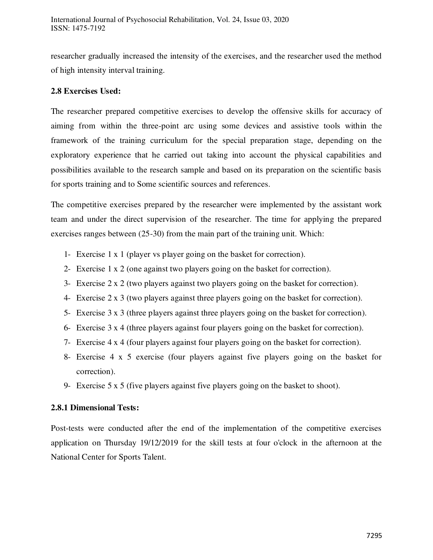researcher gradually increased the intensity of the exercises, and the researcher used the method of high intensity interval training.

# **2.8 Exercises Used:**

The researcher prepared competitive exercises to develop the offensive skills for accuracy of aiming from within the three-point arc using some devices and assistive tools within the framework of the training curriculum for the special preparation stage, depending on the exploratory experience that he carried out taking into account the physical capabilities and possibilities available to the research sample and based on its preparation on the scientific basis for sports training and to Some scientific sources and references.

The competitive exercises prepared by the researcher were implemented by the assistant work team and under the direct supervision of the researcher. The time for applying the prepared exercises ranges between (25-30) from the main part of the training unit. Which:

- 1- Exercise 1 x 1 (player vs player going on the basket for correction).
- 2- Exercise 1 x 2 (one against two players going on the basket for correction).
- 3- Exercise 2 x 2 (two players against two players going on the basket for correction).
- 4- Exercise 2 x 3 (two players against three players going on the basket for correction).
- 5- Exercise 3 x 3 (three players against three players going on the basket for correction).
- 6- Exercise 3 x 4 (three players against four players going on the basket for correction).
- 7- Exercise 4 x 4 (four players against four players going on the basket for correction).
- 8- Exercise 4 x 5 exercise (four players against five players going on the basket for correction).
- 9- Exercise 5 x 5 (five players against five players going on the basket to shoot).

#### **2.8.1 Dimensional Tests:**

Post-tests were conducted after the end of the implementation of the competitive exercises application on Thursday 19/12/2019 for the skill tests at four o'clock in the afternoon at the National Center for Sports Talent.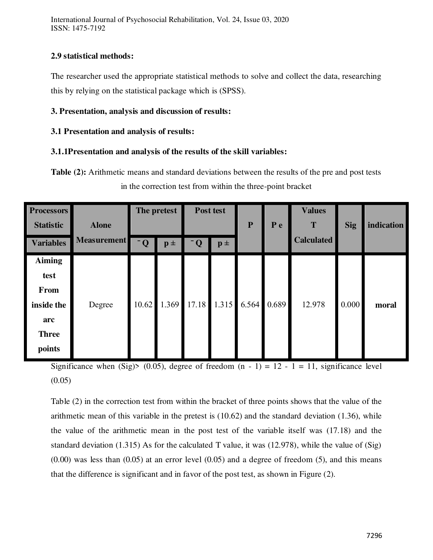International Journal of Psychosocial Rehabilitation, Vol. 24, Issue 03, 2020 ISSN: 1475-7192

# **2.9 statistical methods:**

The researcher used the appropriate statistical methods to solve and collect the data, researching this by relying on the statistical package which is (SPSS).

## **3. Presentation, analysis and discussion of results:**

## **3.1 Presentation and analysis of results:**

## **3.1.1Presentation and analysis of the results of the skill variables:**

**Table (2):** Arithmetic means and standard deviations between the results of the pre and post tests in the correction test from within the three-point bracket

| <b>Processors</b><br><b>Statistic</b>                                               | <b>Alone</b>       | The pretest             |                    | Post test               |                | ${\bf P}$ | P e   | <b>Values</b><br>T | <b>Sig</b> | indication |
|-------------------------------------------------------------------------------------|--------------------|-------------------------|--------------------|-------------------------|----------------|-----------|-------|--------------------|------------|------------|
| <b>Variables</b>                                                                    | <b>Measurement</b> | $\overline{\mathbf{Q}}$ | $\mathbf{p}$ $\pm$ | $\overline{\mathbf{Q}}$ | $\mathbf{p}$ ± |           |       | <b>Calculated</b>  |            |            |
| <b>Aiming</b><br>test<br><b>From</b><br>inside the<br>arc<br><b>Three</b><br>points | Degree             | 10.62                   | 1.369              | 17.18                   | 1.315          | 6.564     | 0.689 | 12.978             | 0.000      | moral      |

Significance when (Sig)> (0.05), degree of freedom  $(n - 1) = 12 - 1 = 11$ , significance level  $(0.05)$ 

Table (2) in the correction test from within the bracket of three points shows that the value of the arithmetic mean of this variable in the pretest is (10.62) and the standard deviation (1.36), while the value of the arithmetic mean in the post test of the variable itself was (17.18) and the standard deviation (1.315) As for the calculated T value, it was (12.978), while the value of (Sig)  $(0.00)$  was less than  $(0.05)$  at an error level  $(0.05)$  and a degree of freedom  $(5)$ , and this means that the difference is significant and in favor of the post test, as shown in Figure (2).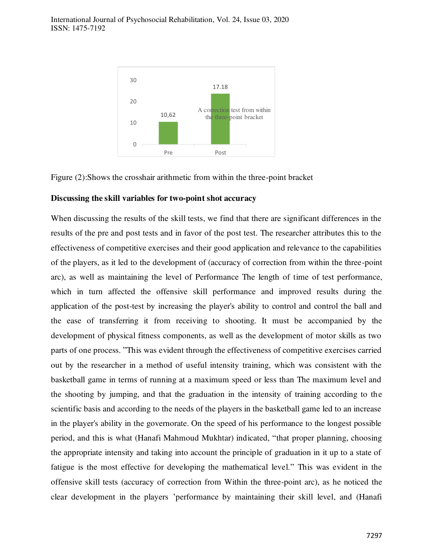

Figure (2):Shows the crosshair arithmetic from within the three-point bracket

#### **Discussing the skill variables for two-point shot accuracy**

When discussing the results of the skill tests, we find that there are significant differences in the results of the pre and post tests and in favor of the post test. The researcher attributes this to the effectiveness of competitive exercises and their good application and relevance to the capabilities of the players, as it led to the development of (accuracy of correction from within the three-point arc), as well as maintaining the level of Performance The length of time of test performance, which in turn affected the offensive skill performance and improved results during the application of the post-test by increasing the player's ability to control and control the ball and the ease of transferring it from receiving to shooting. It must be accompanied by the development of physical fitness components, as well as the development of motor skills as two parts of one process. "This was evident through the effectiveness of competitive exercises carried out by the researcher in a method of useful intensity training, which was consistent with the basketball game in terms of running at a maximum speed or less than The maximum level and the shooting by jumping, and that the graduation in the intensity of training according to the scientific basis and according to the needs of the players in the basketball game led to an increase in the player's ability in the governorate. On the speed of his performance to the longest possible period, and this is what (Hanafi Mahmoud Mukhtar) indicated, "that proper planning, choosing the appropriate intensity and taking into account the principle of graduation in it up to a state of fatigue is the most effective for developing the mathematical level." This was evident in the offensive skill tests (accuracy of correction from Within the three-point arc), as he noticed the clear development in the players 'performance by maintaining their skill level, and (Hanafi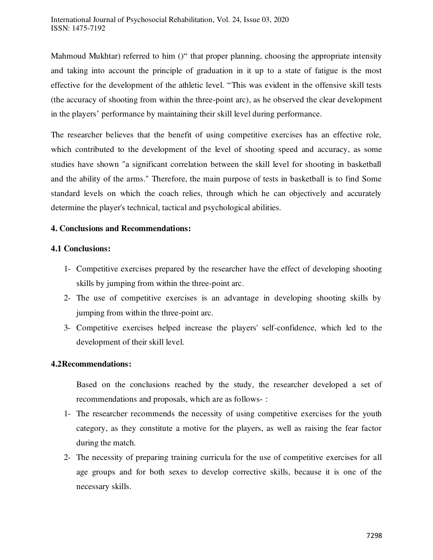Mahmoud Mukhtar) referred to him ()" that proper planning, choosing the appropriate intensity and taking into account the principle of graduation in it up to a state of fatigue is the most effective for the development of the athletic level. "This was evident in the offensive skill tests (the accuracy of shooting from within the three-point arc), as he observed the clear development in the players' performance by maintaining their skill level during performance.

The researcher believes that the benefit of using competitive exercises has an effective role, which contributed to the development of the level of shooting speed and accuracy, as some studies have shown "a significant correlation between the skill level for shooting in basketball and the ability of the arms." Therefore, the main purpose of tests in basketball is to find Some standard levels on which the coach relies, through which he can objectively and accurately determine the player's technical, tactical and psychological abilities.

# **4. Conclusions and Recommendations:**

#### **4.1 Conclusions:**

- 1- Competitive exercises prepared by the researcher have the effect of developing shooting skills by jumping from within the three-point arc.
- 2- The use of competitive exercises is an advantage in developing shooting skills by jumping from within the three-point arc.
- 3- Competitive exercises helped increase the players' self-confidence, which led to the development of their skill level.

#### **4.2Recommendations:**

Based on the conclusions reached by the study, the researcher developed a set of recommendations and proposals, which are as follows- :

- 1- The researcher recommends the necessity of using competitive exercises for the youth category, as they constitute a motive for the players, as well as raising the fear factor during the match.
- 2- The necessity of preparing training curricula for the use of competitive exercises for all age groups and for both sexes to develop corrective skills, because it is one of the necessary skills.